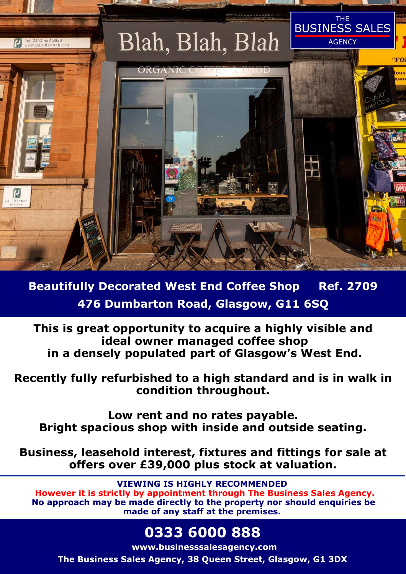

**Beautifully Decorated West End Coffee Shop Ref. 2709 476 Dumbarton Road, Glasgow, G11 6SQ** 

**This is great opportunity to acquire a highly visible and ideal owner managed coffee shop in a densely populated part of Glasgow's West End.**

**Recently fully refurbished to a high standard and is in walk in condition throughout.** 

**Low rent and no rates payable. Bright spacious shop with inside and outside seating.** 

**Business, leasehold interest, fixtures and fittings for sale at offers over £39,000 plus stock at valuation.** 

**VIEWING IS HIGHLY RECOMMENDED However it is strictly by appointment through The Business Sales Agency. No approach may be made directly to the property nor should enquiries be made of any staff at the premises.** 

# **0333 6000 888**

**www.businesssalesagency.com The Business Sales Agency, 38 Queen Street, Glasgow, G1 3DX**